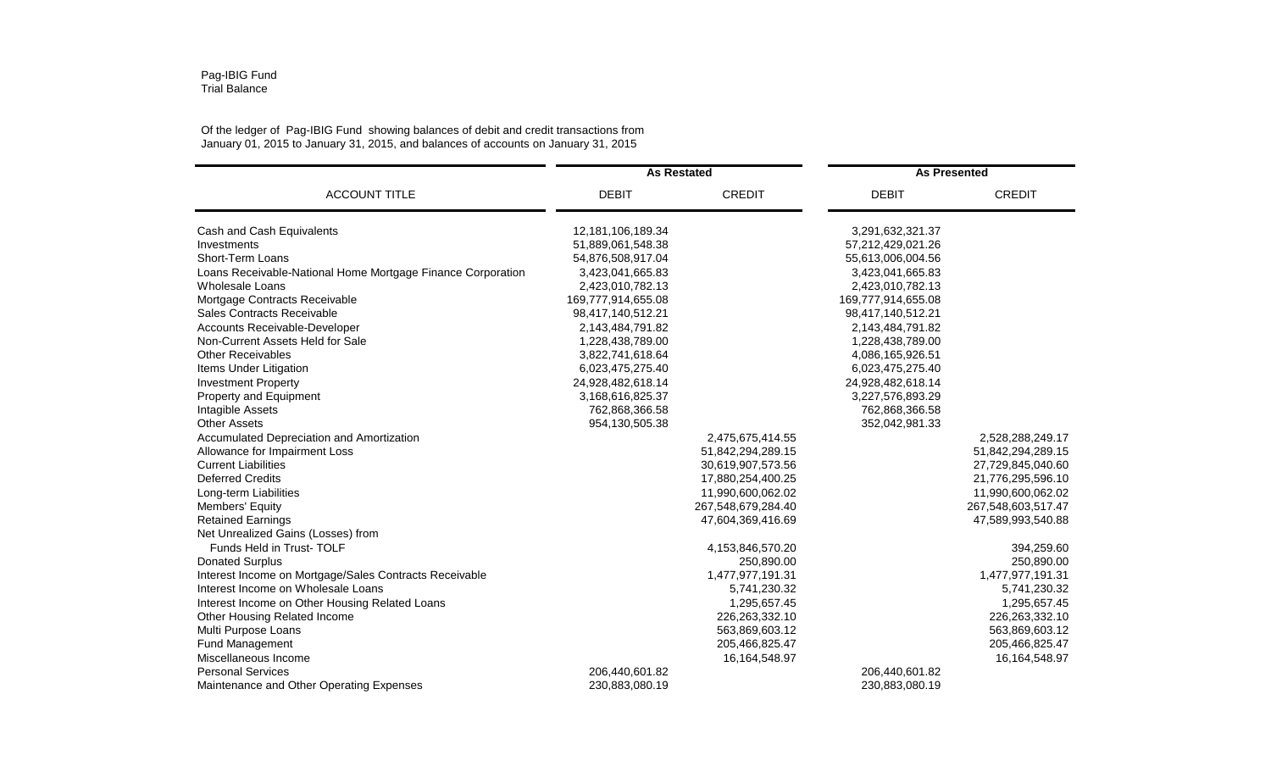## Pag-IBIG Fund Trial Balance

## Of the ledger of Pag-IBIG Fund showing balances of debit and credit transactions from January 01, 2015 to January 31, 2015, and balances of accounts on January 31, 2015

| <b>ACCOUNT TITLE</b>                                        | <b>As Restated</b> |                    | <b>As Presented</b> |                    |
|-------------------------------------------------------------|--------------------|--------------------|---------------------|--------------------|
|                                                             | <b>DEBIT</b>       | <b>CREDIT</b>      | <b>DEBIT</b>        | <b>CREDIT</b>      |
| Cash and Cash Equivalents                                   | 12,181,106,189.34  |                    | 3,291,632,321.37    |                    |
| Investments                                                 | 51,889,061,548.38  |                    | 57,212,429,021.26   |                    |
| Short-Term Loans                                            | 54,876,508,917.04  |                    | 55,613,006,004.56   |                    |
| Loans Receivable-National Home Mortgage Finance Corporation | 3,423,041,665.83   |                    | 3,423,041,665.83    |                    |
| <b>Wholesale Loans</b>                                      | 2,423,010,782.13   |                    | 2,423,010,782.13    |                    |
| Mortgage Contracts Receivable                               | 169,777,914,655.08 |                    | 169,777,914,655.08  |                    |
| Sales Contracts Receivable                                  | 98,417,140,512.21  |                    | 98,417,140,512.21   |                    |
| Accounts Receivable-Developer                               | 2,143,484,791.82   |                    | 2,143,484,791.82    |                    |
| Non-Current Assets Held for Sale                            | 1,228,438,789.00   |                    | 1,228,438,789.00    |                    |
| <b>Other Receivables</b>                                    | 3,822,741,618.64   |                    | 4,086,165,926.51    |                    |
| Items Under Litigation                                      | 6,023,475,275.40   |                    | 6,023,475,275.40    |                    |
| <b>Investment Property</b>                                  | 24,928,482,618.14  |                    | 24,928,482,618.14   |                    |
| Property and Equipment                                      | 3,168,616,825.37   |                    | 3,227,576,893.29    |                    |
| Intagible Assets                                            | 762,868,366.58     |                    | 762,868,366.58      |                    |
| <b>Other Assets</b>                                         | 954,130,505.38     |                    | 352,042,981.33      |                    |
| Accumulated Depreciation and Amortization                   |                    | 2,475,675,414.55   |                     | 2,528,288,249.17   |
| Allowance for Impairment Loss                               |                    | 51,842,294,289.15  |                     | 51,842,294,289.15  |
| <b>Current Liabilities</b>                                  |                    | 30,619,907,573.56  |                     | 27,729,845,040.60  |
| <b>Deferred Credits</b>                                     |                    | 17,880,254,400.25  |                     | 21,776,295,596.10  |
| Long-term Liabilities                                       |                    | 11,990,600,062.02  |                     | 11,990,600,062.02  |
| Members' Equity                                             |                    | 267,548,679,284.40 |                     | 267,548,603,517.47 |
| <b>Retained Earnings</b>                                    |                    | 47,604,369,416.69  |                     | 47,589,993,540.88  |
| Net Unrealized Gains (Losses) from                          |                    |                    |                     |                    |
| Funds Held in Trust-TOLF                                    |                    | 4,153,846,570.20   |                     | 394,259.60         |
| <b>Donated Surplus</b>                                      |                    | 250,890.00         |                     | 250,890.00         |
| Interest Income on Mortgage/Sales Contracts Receivable      |                    | 1,477,977,191.31   |                     | 1,477,977,191.31   |
| Interest Income on Wholesale Loans                          |                    | 5,741,230.32       |                     | 5,741,230.32       |
| Interest Income on Other Housing Related Loans              |                    | 1,295,657.45       |                     | 1,295,657.45       |
| Other Housing Related Income                                |                    | 226,263,332.10     |                     | 226,263,332.10     |
| Multi Purpose Loans                                         |                    | 563,869,603.12     |                     | 563,869,603.12     |
| Fund Management                                             |                    | 205,466,825.47     |                     | 205,466,825.47     |
| Miscellaneous Income                                        |                    | 16, 164, 548. 97   |                     | 16,164,548.97      |
| <b>Personal Services</b>                                    | 206,440,601.82     |                    | 206,440,601.82      |                    |
| Maintenance and Other Operating Expenses                    | 230,883,080.19     |                    | 230,883,080.19      |                    |